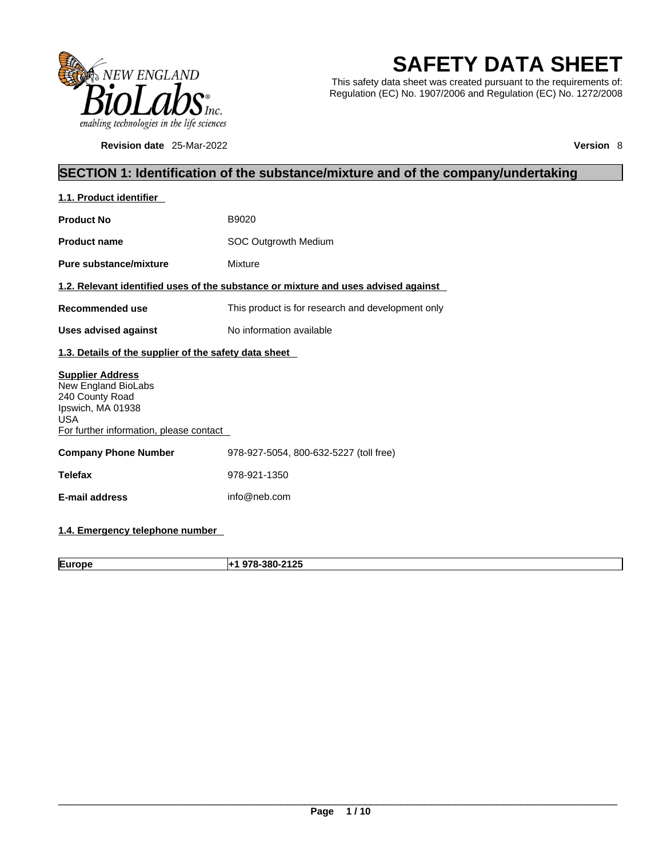

**Revision date** 25-Mar-2022 **Version** 8

# **SAFETY DATA SHEET**

This safety data sheet was created pursuant to the requirements of: Regulation (EC) No. 1907/2006 and Regulation (EC) No. 1272/2008

## **SECTION 1: Identification of the substance/mixture and of the company/undertaking**

| 1.1. Product identifier                                                                                                                         |                                                                                    |  |
|-------------------------------------------------------------------------------------------------------------------------------------------------|------------------------------------------------------------------------------------|--|
| <b>Product No</b>                                                                                                                               | B9020                                                                              |  |
| <b>Product name</b>                                                                                                                             | SOC Outgrowth Medium                                                               |  |
| <b>Pure substance/mixture</b>                                                                                                                   | Mixture                                                                            |  |
|                                                                                                                                                 | 1.2. Relevant identified uses of the substance or mixture and uses advised against |  |
| Recommended use                                                                                                                                 | This product is for research and development only                                  |  |
| <b>Uses advised against</b>                                                                                                                     | No information available                                                           |  |
| 1.3. Details of the supplier of the safety data sheet                                                                                           |                                                                                    |  |
| <b>Supplier Address</b><br>New England BioLabs<br>240 County Road<br>Ipswich, MA 01938<br><b>USA</b><br>For further information, please contact |                                                                                    |  |
| <b>Company Phone Number</b>                                                                                                                     | 978-927-5054, 800-632-5227 (toll free)                                             |  |
| <b>Telefax</b>                                                                                                                                  | 978-921-1350                                                                       |  |
| <b>E-mail address</b>                                                                                                                           | info@neb.com                                                                       |  |
|                                                                                                                                                 |                                                                                    |  |

## **1.4. Emergency telephone number**

**Europe +1 978-380-2125**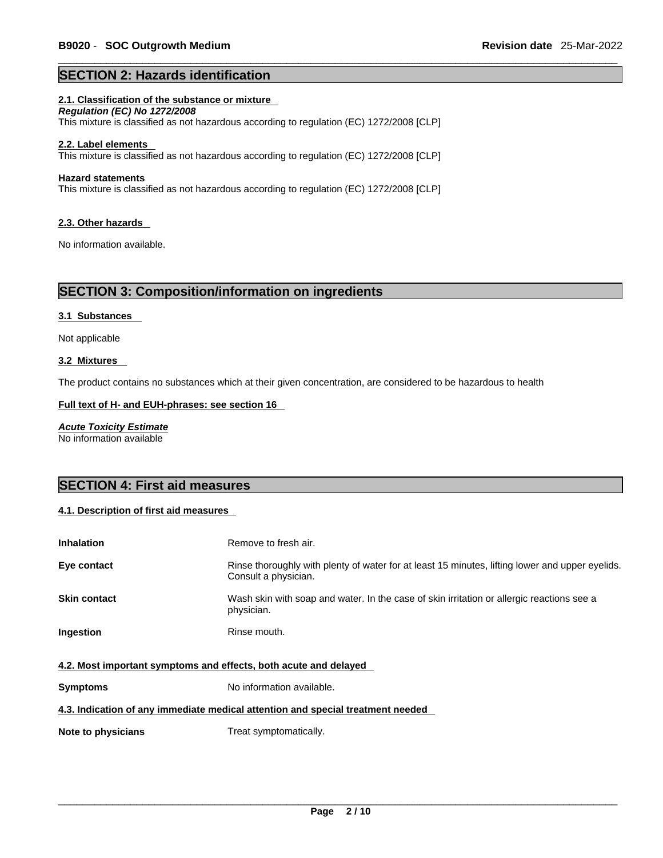## **SECTION 2: Hazards identification**

## **2.1. Classification of the substance or mixture**

*Regulation (EC) No 1272/2008*  This mixture is classified as not hazardous according to regulation (EC) 1272/2008 [CLP]

#### **2.2. Label elements**

This mixture is classified as not hazardous according to regulation (EC) 1272/2008 [CLP]

#### **Hazard statements**

This mixture is classified as not hazardous according to regulation (EC) 1272/2008 [CLP]

#### **2.3. Other hazards**

No information available.

## **SECTION 3: Composition/information on ingredients**

#### **3.1 Substances**

Not applicable

#### **3.2 Mixtures**

The product contains no substances which at their given concentration, are considered to be hazardous to health

#### **Full text of H- and EUH-phrases: see section 16**

*Acute Toxicity Estimate* No information available

## **SECTION 4: First aid measures**

## **4.1. Description of first aid measures**

| <b>Inhalation</b>                                                | Remove to fresh air.                                                                                                    |  |
|------------------------------------------------------------------|-------------------------------------------------------------------------------------------------------------------------|--|
| Eye contact                                                      | Rinse thoroughly with plenty of water for at least 15 minutes, lifting lower and upper eyelids.<br>Consult a physician. |  |
| <b>Skin contact</b>                                              | Wash skin with soap and water. In the case of skin irritation or allergic reactions see a<br>physician.                 |  |
| <b>Ingestion</b>                                                 | Rinse mouth.                                                                                                            |  |
| 4.2. Most important symptoms and effects, both acute and delayed |                                                                                                                         |  |
| <b>Symptoms</b>                                                  | No information available.                                                                                               |  |

## **4.3. Indication of any immediate medical attention and special treatment needed**

**Note to physicians** Treat symptomatically.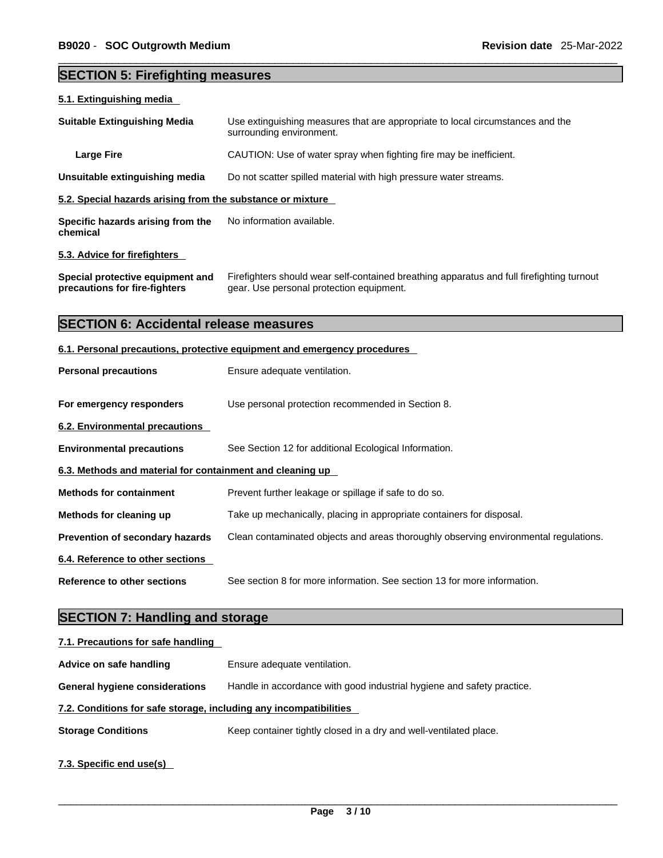## **SECTION 5: Firefighting measures**

# **5.1. Extinguishing media Suitable Extinguishing Media** Use extinguishing measures that are appropriate to local circumstances and the surrounding environment. **Large Fire Example 20** CAUTION: Use of water spray when fighting fire may be inefficient. **Unsuitable extinguishing media** Do not scatter spilled material with high pressure water streams. **5.2. Special hazards arising from the substance or mixture Specific hazards arising from the chemical** No information available. **5.3. Advice for firefighters Special protective equipment and precautions for fire-fighters** Firefighters should wear self-contained breathing apparatus and full firefighting turnout gear. Use personal protection equipment. **SECTION 6: Accidental release measures 6.1. Personal precautions, protective equipment and emergency procedures Personal precautions** Ensure adequate ventilation. **For emergency responders** Use personal protection recommended in Section 8. **6.2. Environmental precautions Environmental precautions** See Section 12 for additional Ecological Information. **6.3. Methods and material for containment and cleaning up Methods for containment** Prevent further leakage or spillage if safe to do so. **Methods for cleaning up** Take up mechanically, placing in appropriate containers for disposal. **Prevention of secondary hazards** Clean contaminated objects and areas thoroughly observing environmental regulations. **6.4. Reference to other sections Reference to other sections** See section 8 for more information. See section 13 for more information.

## **SECTION 7: Handling and storage**

| 7.1. Precautions for safe handling                                |                                                                        |  |
|-------------------------------------------------------------------|------------------------------------------------------------------------|--|
| Advice on safe handling                                           | Ensure adequate ventilation.                                           |  |
| <b>General hygiene considerations</b>                             | Handle in accordance with good industrial hygiene and safety practice. |  |
| 7.2. Conditions for safe storage, including any incompatibilities |                                                                        |  |
| <b>Storage Conditions</b>                                         | Keep container tightly closed in a dry and well-ventilated place.      |  |
| 7.3. Specific end use(s)                                          |                                                                        |  |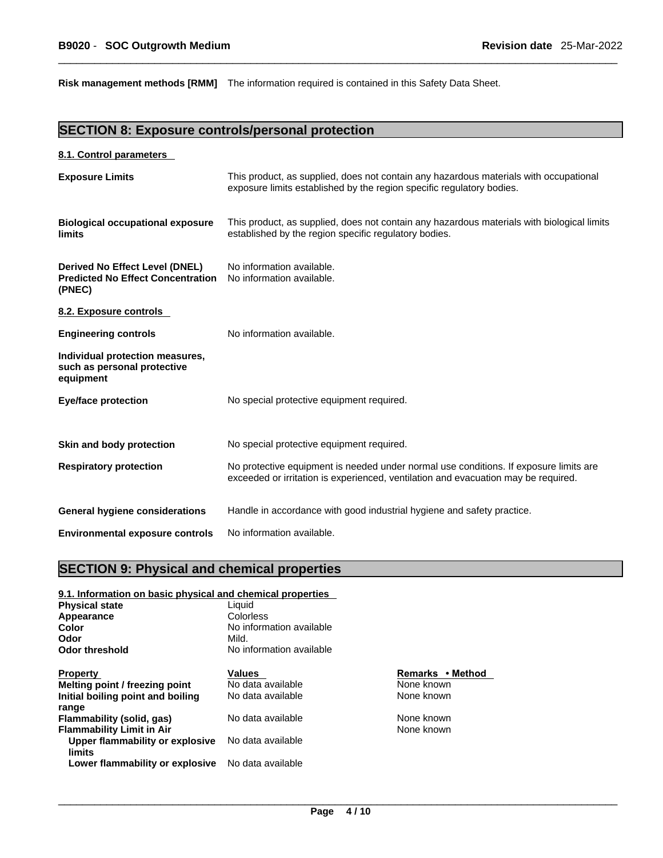**Risk management methods [RMM]** The information required is contained in this Safety Data Sheet.

## **SECTION 8: Exposure controls/personal protection**

## **8.1. Control parameters**

| <b>Exposure Limits</b>                                                               | This product, as supplied, does not contain any hazardous materials with occupational<br>exposure limits established by the region specific regulatory bodies.              |
|--------------------------------------------------------------------------------------|-----------------------------------------------------------------------------------------------------------------------------------------------------------------------------|
| <b>Biological occupational exposure</b><br>limits                                    | This product, as supplied, does not contain any hazardous materials with biological limits<br>established by the region specific regulatory bodies.                         |
| Derived No Effect Level (DNEL)<br><b>Predicted No Effect Concentration</b><br>(PNEC) | No information available.<br>No information available.                                                                                                                      |
| 8.2. Exposure controls                                                               |                                                                                                                                                                             |
| <b>Engineering controls</b>                                                          | No information available.                                                                                                                                                   |
| Individual protection measures,<br>such as personal protective<br>equipment          |                                                                                                                                                                             |
| <b>Eye/face protection</b>                                                           | No special protective equipment required.                                                                                                                                   |
| Skin and body protection                                                             | No special protective equipment required.                                                                                                                                   |
| <b>Respiratory protection</b>                                                        | No protective equipment is needed under normal use conditions. If exposure limits are<br>exceeded or irritation is experienced, ventilation and evacuation may be required. |
| <b>General hygiene considerations</b>                                                | Handle in accordance with good industrial hygiene and safety practice.                                                                                                      |
| <b>Environmental exposure controls</b>                                               | No information available.                                                                                                                                                   |

## **SECTION 9: Physical and chemical properties**

## **9.1. Information on basic physical and chemical properties**

| <b>Physical state</b>             | Liquid<br>Colorless               |                  |  |
|-----------------------------------|-----------------------------------|------------------|--|
| Appearance                        |                                   |                  |  |
| Color                             | No information available<br>Mild. |                  |  |
| Odor                              |                                   |                  |  |
| <b>Odor threshold</b>             | No information available          |                  |  |
| <b>Property</b>                   | <b>Values</b>                     | Remarks • Method |  |
| Melting point / freezing point    | No data available                 | None known       |  |
| Initial boiling point and boiling | No data available                 | None known       |  |
| range                             |                                   |                  |  |
| Flammability (solid, gas)         | No data available                 | None known       |  |
| <b>Flammability Limit in Air</b>  |                                   | None known       |  |
| Upper flammability or explosive   | No data available                 |                  |  |
| limits                            |                                   |                  |  |
| Lower flammability or explosive   | No data available                 |                  |  |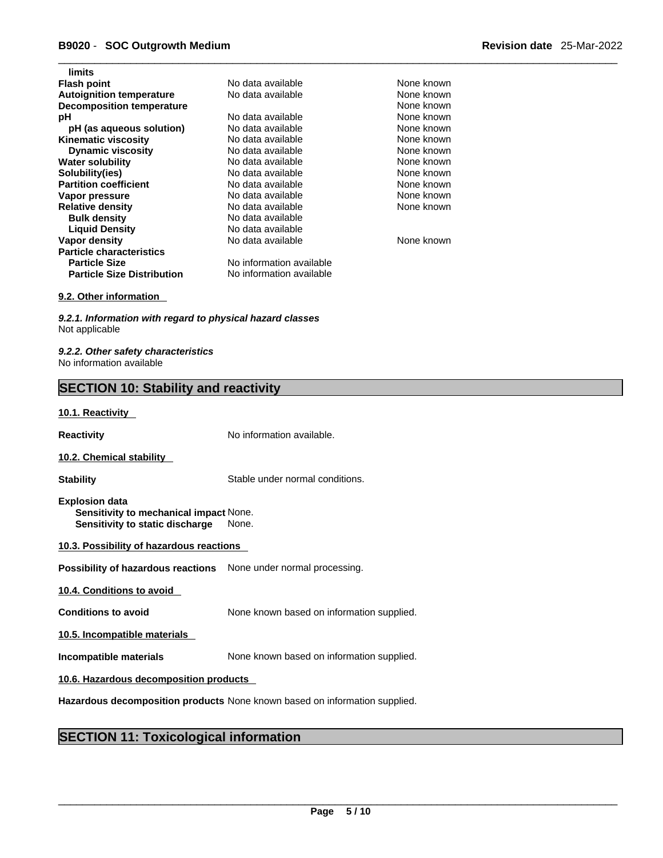# \_\_\_\_\_\_\_\_\_\_\_\_\_\_\_\_\_\_\_\_\_\_\_\_\_\_\_\_\_\_\_\_\_\_\_\_\_\_\_\_\_\_\_\_\_\_\_\_\_\_\_\_\_\_\_\_\_\_\_\_\_\_\_\_\_\_\_\_\_\_\_\_\_\_\_\_\_\_\_\_\_\_\_\_\_\_\_\_\_\_\_\_\_ **B9020** - **SOC Outgrowth Medium Revision date** 25-Mar-2022

| limits                            |                          |            |
|-----------------------------------|--------------------------|------------|
| <b>Flash point</b>                | No data available        | None known |
| <b>Autoignition temperature</b>   | No data available        | None known |
| <b>Decomposition temperature</b>  |                          | None known |
| рH                                | No data available        | None known |
| pH (as aqueous solution)          | No data available        | None known |
| <b>Kinematic viscosity</b>        | No data available        | None known |
| <b>Dynamic viscosity</b>          | No data available        | None known |
| <b>Water solubility</b>           | No data available        | None known |
| Solubility(ies)                   | No data available        | None known |
| <b>Partition coefficient</b>      | No data available        | None known |
| Vapor pressure                    | No data available        | None known |
| <b>Relative density</b>           | No data available        | None known |
| <b>Bulk density</b>               | No data available        |            |
| <b>Liquid Density</b>             | No data available        |            |
| Vapor density                     | No data available        | None known |
| <b>Particle characteristics</b>   |                          |            |
| <b>Particle Size</b>              | No information available |            |
| <b>Particle Size Distribution</b> | No information available |            |
|                                   |                          |            |

#### **9.2. Other information**

*9.2.1. Information with regard to physical hazard classes* Not applicable

*9.2.2. Other safety characteristics* No information available

## **SECTION 10: Stability and reactivity**

### **10.1. Reactivity**

**Reactivity No information available.** 

#### **10.2. Chemical stability**

**Stability** Stable under normal conditions.

- **Explosion data Sensitivity to mechanical impact** None. **Sensitivity to static discharge** None.
- **10.3. Possibility of hazardous reactions**

**Possibility of hazardous reactions** None under normal processing.

**10.4. Conditions to avoid** 

**Conditions to avoid** None known based on information supplied.

**10.5. Incompatible materials**

**Incompatible materials** None known based on information supplied.

## **10.6. Hazardous decomposition products**

**Hazardous decomposition products** None known based on information supplied.

## **SECTION 11: Toxicological information**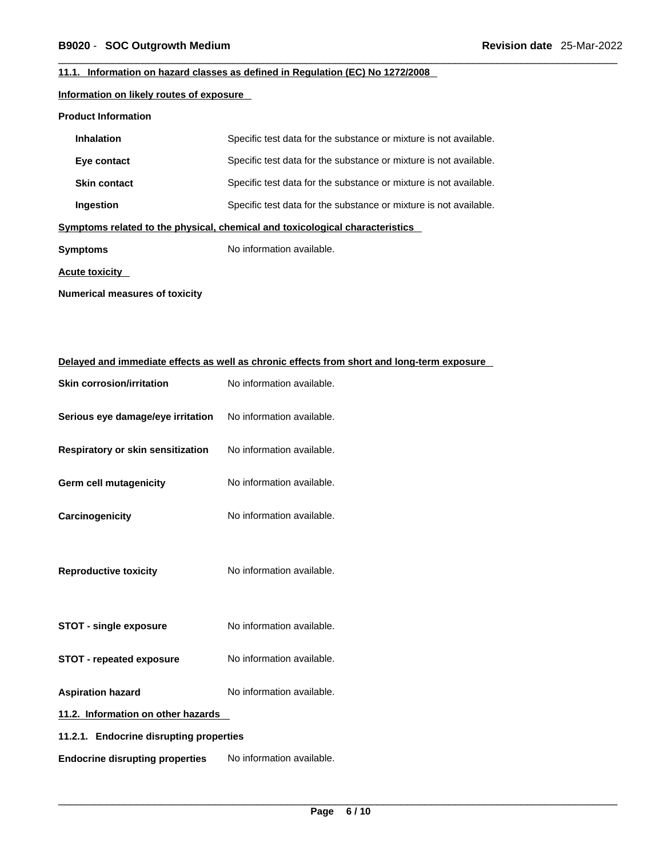## **11.1. Information on hazard classes as defined in Regulation (EC) No 1272/2008**

## **Information on likely routes of exposure**

#### **Product Information**

| <b>Inhalation</b>                                                            | Specific test data for the substance or mixture is not available. |  |
|------------------------------------------------------------------------------|-------------------------------------------------------------------|--|
| Eye contact                                                                  | Specific test data for the substance or mixture is not available. |  |
| <b>Skin contact</b>                                                          | Specific test data for the substance or mixture is not available. |  |
| Ingestion                                                                    | Specific test data for the substance or mixture is not available. |  |
| Symptoms related to the physical, chemical and toxicological characteristics |                                                                   |  |
| Symptoms                                                                     | No information available.                                         |  |
| Acute toxicity                                                               |                                                                   |  |

**Numerical measures of toxicity**

| Delayed and immediate effects as well as chronic effects from short and long-term exposure |                           |  |
|--------------------------------------------------------------------------------------------|---------------------------|--|
| <b>Skin corrosion/irritation</b>                                                           | No information available. |  |
| Serious eye damage/eye irritation                                                          | No information available. |  |
| Respiratory or skin sensitization                                                          | No information available. |  |
| <b>Germ cell mutagenicity</b>                                                              | No information available. |  |
| Carcinogenicity                                                                            | No information available. |  |
| <b>Reproductive toxicity</b>                                                               | No information available. |  |
| <b>STOT - single exposure</b>                                                              | No information available. |  |
| <b>STOT - repeated exposure</b>                                                            | No information available. |  |
| <b>Aspiration hazard</b>                                                                   | No information available. |  |
| 11.2. Information on other hazards                                                         |                           |  |
| 11.2.1. Endocrine disrupting properties                                                    |                           |  |
| <b>Endocrine disrupting properties</b>                                                     | No information available. |  |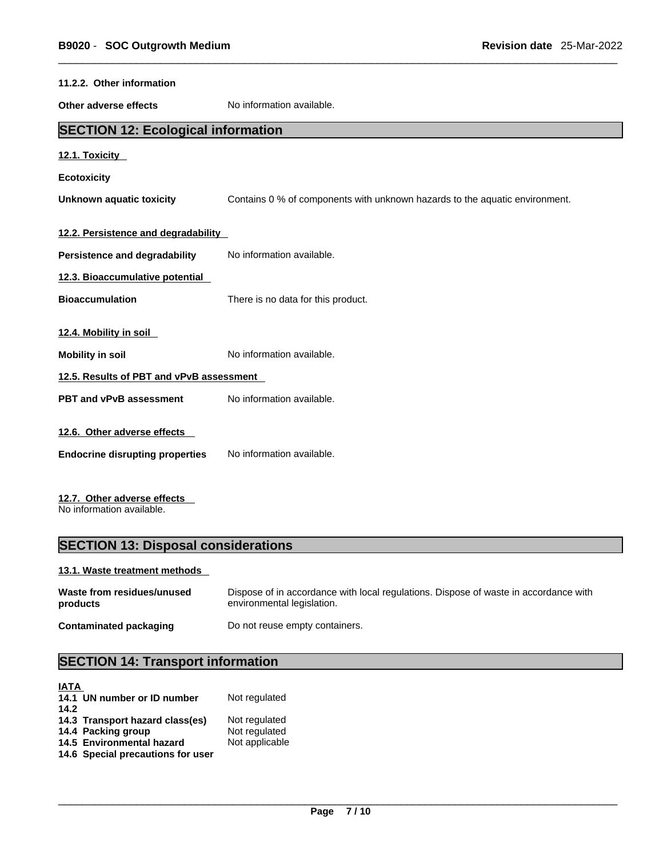| 11.2.2. Other information                 |                                                                             |
|-------------------------------------------|-----------------------------------------------------------------------------|
| Other adverse effects                     | No information available.                                                   |
| <b>SECTION 12: Ecological information</b> |                                                                             |
| 12.1. Toxicity                            |                                                                             |
| <b>Ecotoxicity</b>                        |                                                                             |
| <b>Unknown aquatic toxicity</b>           | Contains 0 % of components with unknown hazards to the aquatic environment. |
| 12.2. Persistence and degradability       |                                                                             |
| Persistence and degradability             | No information available.                                                   |
| 12.3. Bioaccumulative potential           |                                                                             |
| <b>Bioaccumulation</b>                    | There is no data for this product.                                          |
| 12.4. Mobility in soil                    |                                                                             |
| <b>Mobility in soil</b>                   | No information available.                                                   |
| 12.5. Results of PBT and vPvB assessment  |                                                                             |
| PBT and vPvB assessment                   | No information available.                                                   |
| 12.6. Other adverse effects               |                                                                             |
| <b>Endocrine disrupting properties</b>    | No information available.                                                   |
| 12.7. Other adverse effects               |                                                                             |

No information available.

## **SECTION 13: Disposal considerations**

## **13.1. Waste treatment methods**

| Waste from residues/unused | Dispose of in accordance with local regulations. Dispose of waste in accordance with |
|----------------------------|--------------------------------------------------------------------------------------|
| products                   | environmental legislation.                                                           |
| Contaminated packaging     | Do not reuse empty containers.                                                       |

# **SECTION 14: Transport information**

| <b>IATA</b> |                                   |                |
|-------------|-----------------------------------|----------------|
|             | 14.1 UN number or ID number       | Not regulated  |
| 14.2        |                                   |                |
|             | 14.3 Transport hazard class(es)   | Not regulated  |
|             | 14.4 Packing group                | Not regulated  |
|             | 14.5 Environmental hazard         | Not applicable |
|             | 14.6 Special precautions for user |                |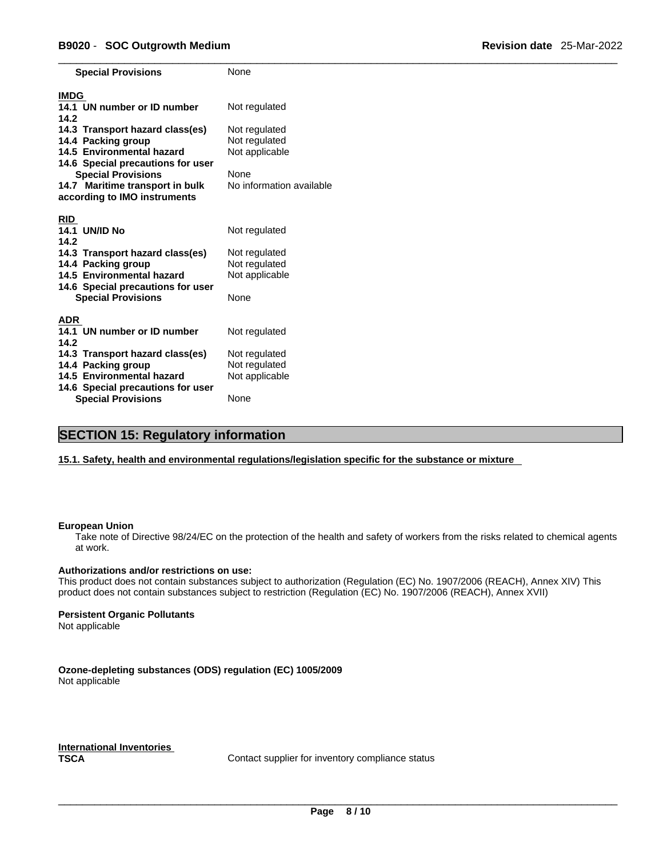| <b>Special Provisions</b>                                      | None                     |
|----------------------------------------------------------------|--------------------------|
| <b>IMDG</b>                                                    |                          |
| 14.1 UN number or ID number<br>14.2                            | Not regulated            |
| 14.3 Transport hazard class(es)                                | Not regulated            |
| 14.4 Packing group                                             | Not regulated            |
| 14.5 Environmental hazard                                      | Not applicable           |
| 14.6 Special precautions for user                              |                          |
| <b>Special Provisions</b>                                      | <b>None</b>              |
| 14.7 Maritime transport in bulk                                | No information available |
| according to IMO instruments                                   |                          |
|                                                                |                          |
| <b>RID</b>                                                     |                          |
| <b>UN/ID No</b><br>14.1                                        | Not regulated            |
| 14.2                                                           |                          |
| 14.3 Transport hazard class(es)                                | Not regulated            |
| 14.4 Packing group                                             | Not regulated            |
| 14.5 Environmental hazard                                      | Not applicable           |
| 14.6 Special precautions for user                              |                          |
| <b>Special Provisions</b>                                      | None                     |
|                                                                |                          |
| <b>ADR</b>                                                     |                          |
| 14.1 UN number or ID number                                    | Not regulated            |
| 14.2                                                           |                          |
| 14.3 Transport hazard class(es)                                | Not regulated            |
| 14.4 Packing group                                             | Not regulated            |
| 14.5 Environmental hazard<br>14.6 Special precautions for user | Not applicable           |
| <b>Special Provisions</b>                                      | None                     |

## **SECTION 15: Regulatory information**

**15.1. Safety, health and environmental regulations/legislation specific for the substance or mixture**

#### **European Union**

Take note of Directive 98/24/EC on the protection of the health and safety of workers from the risks related to chemical agents at work.

#### **Authorizations and/or restrictions on use:**

This product does not contain substances subject to authorization (Regulation (EC) No. 1907/2006 (REACH), Annex XIV) This product does not contain substances subject to restriction (Regulation (EC) No. 1907/2006 (REACH), Annex XVII)

#### **Persistent Organic Pollutants**

Not applicable

**Ozone-depleting substances (ODS) regulation (EC) 1005/2009** Not applicable

**International Inventories**

Contact supplier for inventory compliance status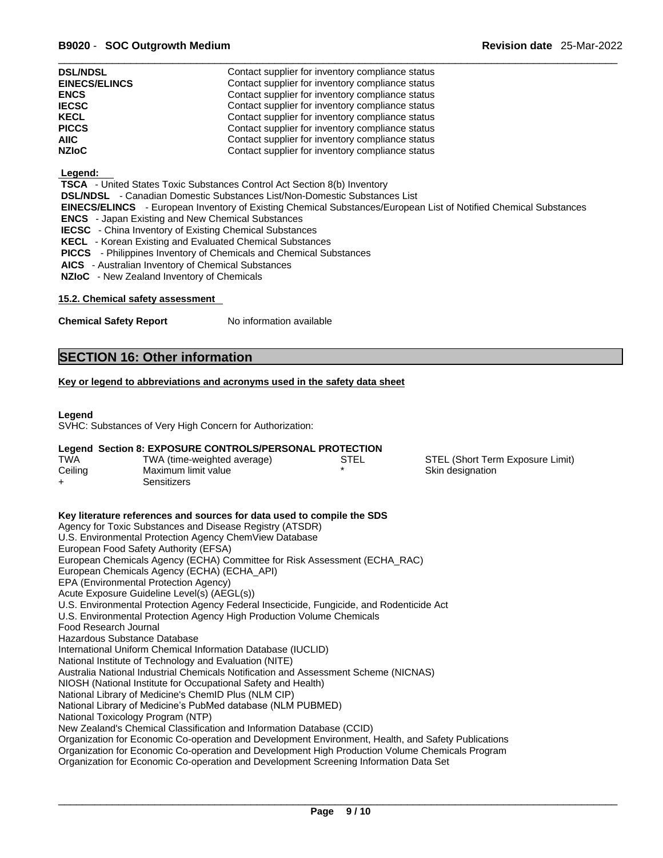| <b>DSL/NDSL</b>      | Contact supplier for inventory compliance status |
|----------------------|--------------------------------------------------|
| <b>EINECS/ELINCS</b> | Contact supplier for inventory compliance status |
| <b>ENCS</b>          | Contact supplier for inventory compliance status |
| <b>IECSC</b>         | Contact supplier for inventory compliance status |
| <b>KECL</b>          | Contact supplier for inventory compliance status |
| <b>PICCS</b>         | Contact supplier for inventory compliance status |
| <b>AIIC</b>          | Contact supplier for inventory compliance status |
| <b>NZIoC</b>         | Contact supplier for inventory compliance status |

## **Legend:**

 **TSCA** - United States Toxic Substances Control Act Section 8(b) Inventory

 **DSL/NDSL** - Canadian Domestic Substances List/Non-Domestic Substances List

 **EINECS/ELINCS** - European Inventory of Existing Chemical Substances/European List of Notified Chemical Substances

 **ENCS** - Japan Existing and New Chemical Substances

- **IECSC**  China Inventory of Existing Chemical Substances
- **KECL**  Korean Existing and Evaluated Chemical Substances
- **PICCS**  Philippines Inventory of Chemicals and Chemical Substances
- **AICS**  Australian Inventory of Chemical Substances
- **NZIoC**  New Zealand Inventory of Chemicals

## **15.2. Chemical safety assessment**

**Chemical Safety Report** No information available

## **SECTION 16: Other information**

## **Key or legend to abbreviations and acronyms used in the safety data sheet**

### **Legend**

SVHC: Substances of Very High Concern for Authorization:

## **Legend Section 8: EXPOSURE CONTROLS/PERSONAL PROTECTION**

| TWA     | TWA (time-weighted average) | STEL | STEL (Short Term Exposure Limit) |
|---------|-----------------------------|------|----------------------------------|
| Ceiling | Maximum limit value         |      | Skin designation                 |
|         | 3ensitizers                 |      |                                  |

| Key literature references and sources for data used to compile the SDS                              |
|-----------------------------------------------------------------------------------------------------|
| Agency for Toxic Substances and Disease Registry (ATSDR)                                            |
| U.S. Environmental Protection Agency ChemView Database                                              |
| European Food Safety Authority (EFSA)                                                               |
| European Chemicals Agency (ECHA) Committee for Risk Assessment (ECHA_RAC)                           |
| European Chemicals Agency (ECHA) (ECHA_API)                                                         |
| EPA (Environmental Protection Agency)                                                               |
| Acute Exposure Guideline Level(s) (AEGL(s))                                                         |
| U.S. Environmental Protection Agency Federal Insecticide, Fungicide, and Rodenticide Act            |
| U.S. Environmental Protection Agency High Production Volume Chemicals                               |
| Food Research Journal                                                                               |
| Hazardous Substance Database                                                                        |
| International Uniform Chemical Information Database (IUCLID)                                        |
| National Institute of Technology and Evaluation (NITE)                                              |
| Australia National Industrial Chemicals Notification and Assessment Scheme (NICNAS)                 |
| NIOSH (National Institute for Occupational Safety and Health)                                       |
| National Library of Medicine's ChemID Plus (NLM CIP)                                                |
| National Library of Medicine's PubMed database (NLM PUBMED)                                         |
| National Toxicology Program (NTP)                                                                   |
| New Zealand's Chemical Classification and Information Database (CCID)                               |
| Organization for Economic Co-operation and Development Environment, Health, and Safety Publications |
| Organization for Economic Co-operation and Development High Production Volume Chemicals Program     |
| Organization for Economic Co-operation and Development Screening Information Data Set               |
|                                                                                                     |